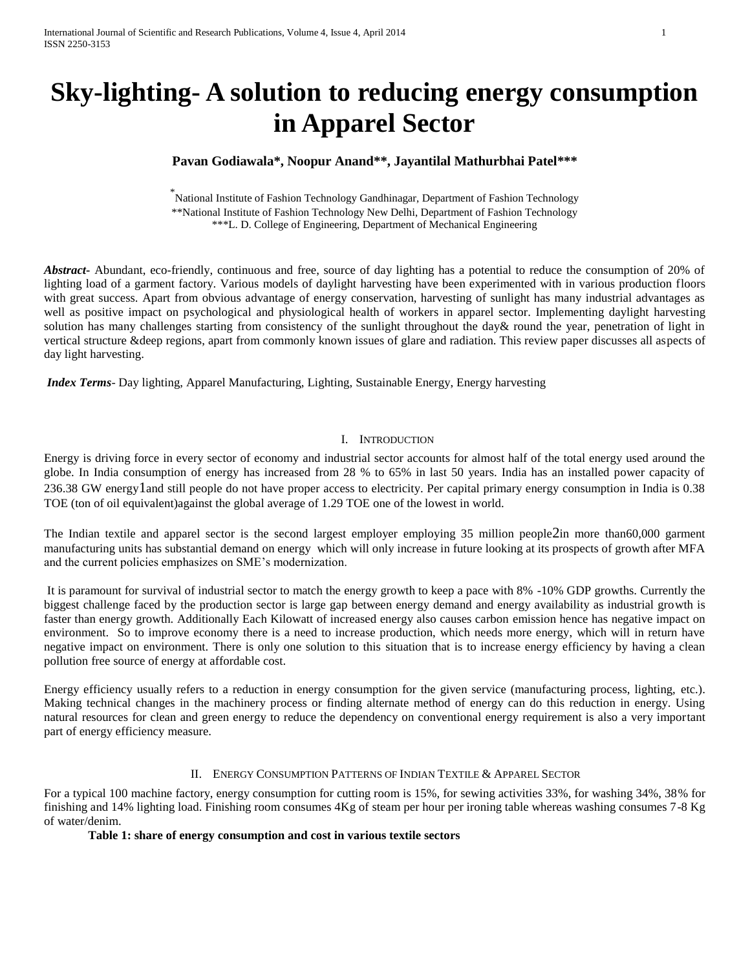# **Sky-lighting- A solution to reducing energy consumption in Apparel Sector**

## **Pavan Godiawala\*, Noopur Anand\*\*, Jayantilal Mathurbhai Patel\*\*\***

\* National Institute of Fashion Technology Gandhinagar, Department of Fashion Technology \*\*National Institute of Fashion Technology New Delhi, Department of Fashion Technology \*\*\*L. D. College of Engineering, Department of Mechanical Engineering

*Abstract***-** Abundant, eco-friendly, continuous and free, source of day lighting has a potential to reduce the consumption of 20% of lighting load of a garment factory. Various models of daylight harvesting have been experimented with in various production floors with great success. Apart from obvious advantage of energy conservation, harvesting of sunlight has many industrial advantages as well as positive impact on psychological and physiological health of workers in apparel sector. Implementing daylight harvesting solution has many challenges starting from consistency of the sunlight throughout the day& round the year, penetration of light in vertical structure &deep regions, apart from commonly known issues of glare and radiation. This review paper discusses all aspects of day light harvesting.

*Index Terms*- Day lighting, Apparel Manufacturing, Lighting, Sustainable Energy, Energy harvesting

#### I. INTRODUCTION

Energy is driving force in every sector of economy and industrial sector accounts for almost half of the total energy used around the globe. In India consumption of energy has increased from 28 % to 65% in last 50 years. India has an installed power capacity of 236.38 GW energy1and still people do not have proper access to electricity. Per capital primary energy consumption in India is 0.38 TOE (ton of oil equivalent)against the global average of 1.29 TOE one of the lowest in world.

The Indian textile and apparel sector is the second largest employer employing 35 million people2in more than60,000 garment manufacturing units has substantial demand on energy which will only increase in future looking at its prospects of growth after MFA and the current policies emphasizes on SME's modernization.

It is paramount for survival of industrial sector to match the energy growth to keep a pace with 8% -10% GDP growths. Currently the biggest challenge faced by the production sector is large gap between energy demand and energy availability as industrial growth is faster than energy growth. Additionally Each Kilowatt of increased energy also causes carbon emission hence has negative impact on environment. So to improve economy there is a need to increase production, which needs more energy, which will in return have negative impact on environment. There is only one solution to this situation that is to increase energy efficiency by having a clean pollution free source of energy at affordable cost.

Energy efficiency usually refers to a reduction in energy consumption for the given service (manufacturing process, lighting, etc.). Making technical changes in the machinery process or finding alternate method of energy can do this reduction in energy. Using natural resources for clean and green energy to reduce the dependency on conventional energy requirement is also a very important part of energy efficiency measure.

## II. ENERGY CONSUMPTION PATTERNS OF INDIAN TEXTILE & APPAREL SECTOR

For a typical 100 machine factory, energy consumption for cutting room is 15%, for sewing activities 33%, for washing 34%, 38% for finishing and 14% lighting load. Finishing room consumes 4Kg of steam per hour per ironing table whereas washing consumes 7-8 Kg of water/denim.

#### **Table 1: share of energy consumption and cost in various textile sectors**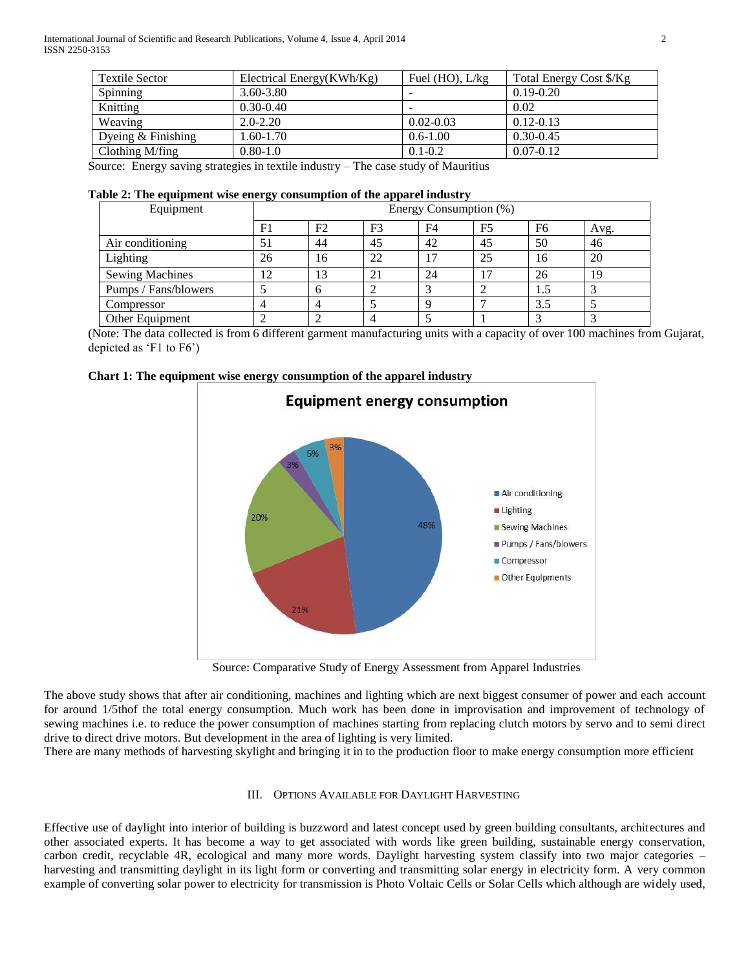| Electrical Energy(KWh/Kg) | Fuel $(HO)$ , $L/kg$     | Total Energy Cost \$/Kg |
|---------------------------|--------------------------|-------------------------|
| $3.60 - 3.80$             | $\overline{\phantom{0}}$ | $0.19 - 0.20$           |
| $0.30 - 0.40$             | $\overline{\phantom{a}}$ | 0.02                    |
| $2.0 - 2.20$              | $0.02 - 0.03$            | $0.12 - 0.13$           |
| $1.60 - 1.70$             | $0.6 - 1.00$             | $0.30 - 0.45$           |
| $0.80 - 1.0$              | $0.1 - 0.2$              | $0.07 - 0.12$           |
|                           |                          |                         |

Source: Energy saving strategies in textile industry – The case study of Mauritius

## **Table 2: The equipment wise energy consumption of the apparel industry**

| Equipment              |    | -- 8.<br>Energy Consumption (%) |                |                |                |                |      |
|------------------------|----|---------------------------------|----------------|----------------|----------------|----------------|------|
|                        | F1 | F <sub>2</sub>                  | F <sub>3</sub> | F <sub>4</sub> | F <sub>5</sub> | F <sub>6</sub> | Avg. |
| Air conditioning       | 51 | 44                              | 45             | 42             | 45             | 50             | 46   |
| Lighting               | 26 | 16                              | 22             | 17             | 25             | 16             | 20   |
| <b>Sewing Machines</b> | 12 | 13                              | 21             | 24             | 17             | 26             | 19   |
| Pumps / Fans/blowers   |    | h                               |                |                |                | 1.5            |      |
| Compressor             |    |                                 |                | -0             |                | 3.5            |      |
| Other Equipment        |    |                                 |                |                |                |                |      |

(Note: The data collected is from 6 different garment manufacturing units with a capacity of over 100 machines from Gujarat, depicted as 'F1 to F6')





Source: Comparative Study of Energy Assessment from Apparel Industries

The above study shows that after air conditioning, machines and lighting which are next biggest consumer of power and each account for around 1/5thof the total energy consumption. Much work has been done in improvisation and improvement of technology of sewing machines i.e. to reduce the power consumption of machines starting from replacing clutch motors by servo and to semi direct drive to direct drive motors. But development in the area of lighting is very limited.

There are many methods of harvesting skylight and bringing it in to the production floor to make energy consumption more efficient

## III. OPTIONS AVAILABLE FOR DAYLIGHT HARVESTING

Effective use of daylight into interior of building is buzzword and latest concept used by green building consultants, architectures and other associated experts. It has become a way to get associated with words like green building, sustainable energy conservation, carbon credit, recyclable 4R, ecological and many more words. Daylight harvesting system classify into two major categories – harvesting and transmitting daylight in its light form or converting and transmitting solar energy in electricity form. A very common example of converting solar power to electricity for transmission is Photo Voltaic Cells or Solar Cells which although are widely used,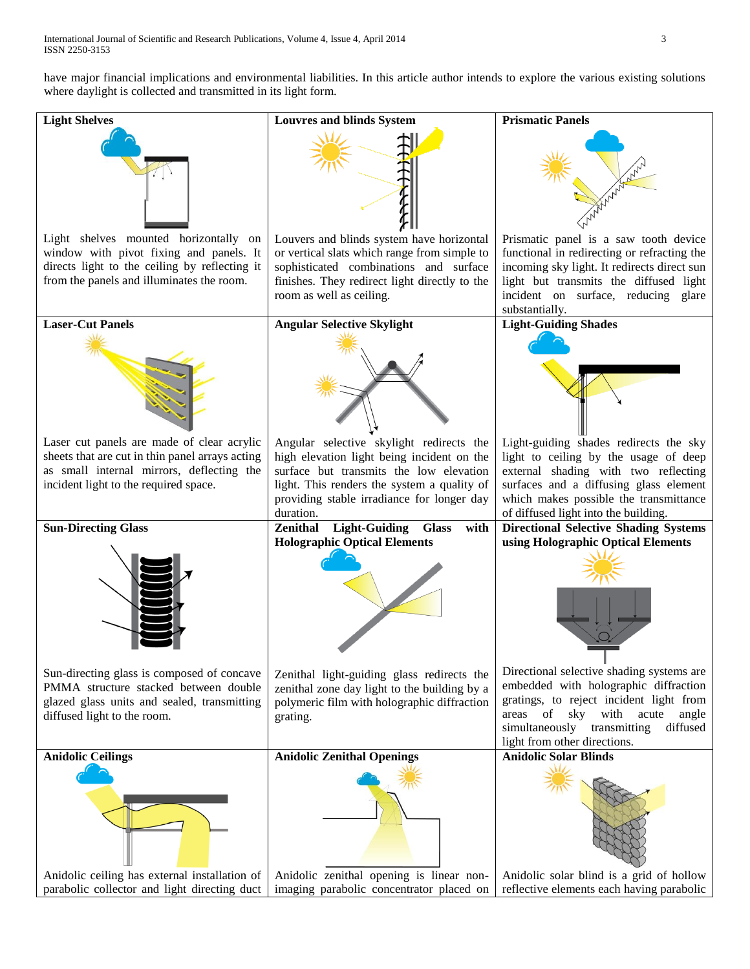have major financial implications and environmental liabilities. In this article author intends to explore the various existing solutions where daylight is collected and transmitted in its light form.

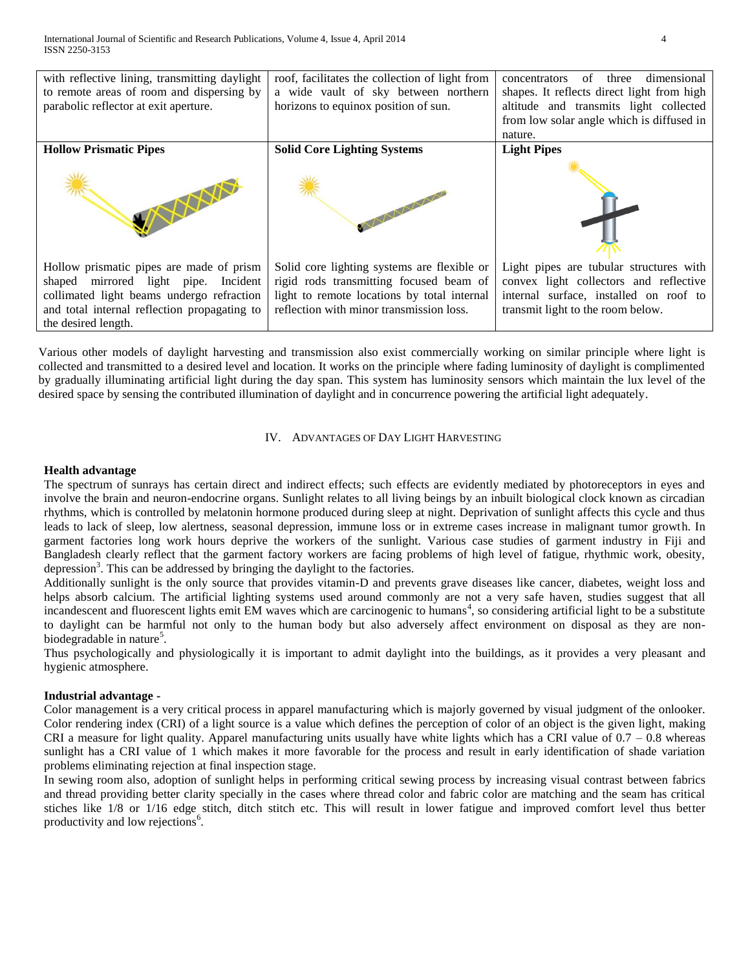| with reflective lining, transmitting daylight<br>to remote areas of room and dispersing by<br>parabolic reflector at exit aperture.                                                                  | roof, facilitates the collection of light from<br>a wide vault of sky between northern<br>horizons to equinox position of sun.                                                    | concentrators of three dimensional<br>shapes. It reflects direct light from high<br>altitude and transmits light collected<br>from low solar angle which is diffused in<br>nature. |
|------------------------------------------------------------------------------------------------------------------------------------------------------------------------------------------------------|-----------------------------------------------------------------------------------------------------------------------------------------------------------------------------------|------------------------------------------------------------------------------------------------------------------------------------------------------------------------------------|
| <b>Hollow Prismatic Pipes</b>                                                                                                                                                                        | <b>Solid Core Lighting Systems</b>                                                                                                                                                | <b>Light Pipes</b>                                                                                                                                                                 |
|                                                                                                                                                                                                      |                                                                                                                                                                                   |                                                                                                                                                                                    |
| Hollow prismatic pipes are made of prism<br>shaped mirrored light pipe. Incident<br>collimated light beams undergo refraction<br>and total internal reflection propagating to<br>the desired length. | Solid core lighting systems are flexible or<br>rigid rods transmitting focused beam of<br>light to remote locations by total internal<br>reflection with minor transmission loss. | Light pipes are tubular structures with<br>convex light collectors and reflective<br>internal surface, installed on roof to<br>transmit light to the room below.                   |

Various other models of daylight harvesting and transmission also exist commercially working on similar principle where light is collected and transmitted to a desired level and location. It works on the principle where fading luminosity of daylight is complimented by gradually illuminating artificial light during the day span. This system has luminosity sensors which maintain the lux level of the desired space by sensing the contributed illumination of daylight and in concurrence powering the artificial light adequately.

## IV. ADVANTAGES OF DAY LIGHT HARVESTING

### **Health advantage**

The spectrum of sunrays has certain direct and indirect effects; such effects are evidently mediated by photoreceptors in eyes and involve the brain and neuron-endocrine organs. Sunlight relates to all living beings by an inbuilt biological clock known as circadian rhythms, which is controlled by melatonin hormone produced during sleep at night. Deprivation of sunlight affects this cycle and thus leads to lack of sleep, low alertness, seasonal depression, immune loss or in extreme cases increase in malignant tumor growth. In garment factories long work hours deprive the workers of the sunlight. Various case studies of garment industry in Fiji and Bangladesh clearly reflect that the garment factory workers are facing problems of high level of fatigue, rhythmic work, obesity, depression<sup>3</sup>. This can be addressed by bringing the daylight to the factories.

Additionally sunlight is the only source that provides vitamin-D and prevents grave diseases like cancer, diabetes, weight loss and helps absorb calcium. The artificial lighting systems used around commonly are not a very safe haven, studies suggest that all incandescent and fluorescent lights emit EM waves which are carcinogenic to humans<sup>4</sup>, so considering artificial light to be a substitute to daylight can be harmful not only to the human body but also adversely affect environment on disposal as they are nonbiodegradable in nature<sup>5</sup>.

Thus psychologically and physiologically it is important to admit daylight into the buildings, as it provides a very pleasant and hygienic atmosphere.

#### **Industrial advantage -**

Color management is a very critical process in apparel manufacturing which is majorly governed by visual judgment of the onlooker. Color rendering index (CRI) of a light source is a value which defines the perception of color of an object is the given light, making CRI a measure for light quality. Apparel manufacturing units usually have white lights which has a CRI value of  $0.7 - 0.8$  whereas sunlight has a CRI value of 1 which makes it more favorable for the process and result in early identification of shade variation problems eliminating rejection at final inspection stage.

In sewing room also, adoption of sunlight helps in performing critical sewing process by increasing visual contrast between fabrics and thread providing better clarity specially in the cases where thread color and fabric color are matching and the seam has critical stiches like 1/8 or 1/16 edge stitch, ditch stitch etc. This will result in lower fatigue and improved comfort level thus better productivity and low rejections<sup>6</sup>.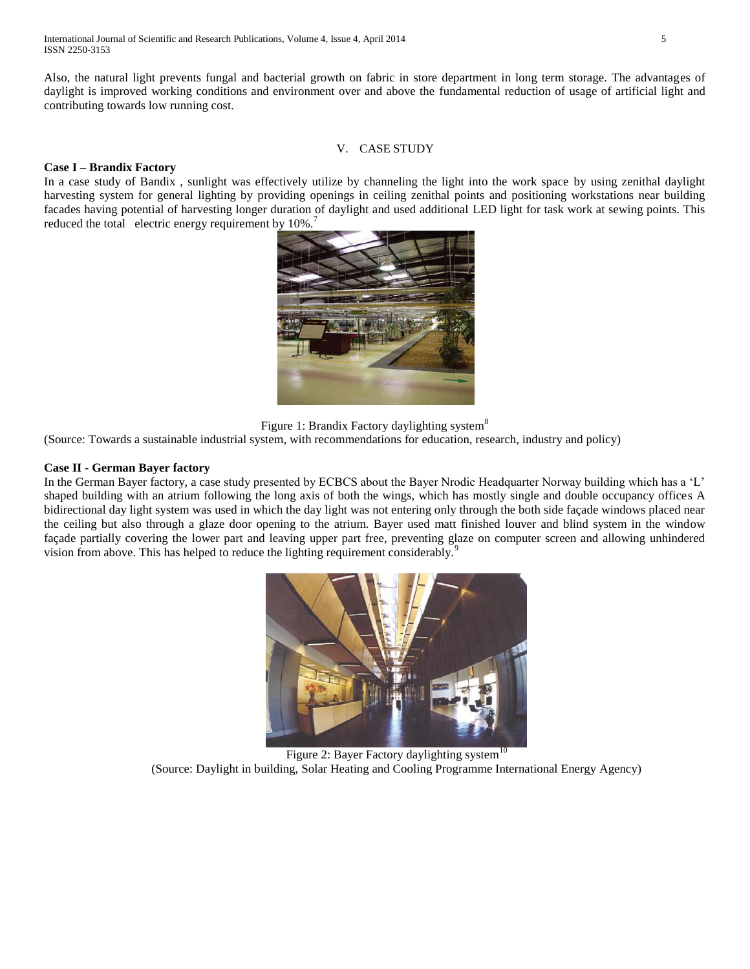Also, the natural light prevents fungal and bacterial growth on fabric in store department in long term storage. The advantages of daylight is improved working conditions and environment over and above the fundamental reduction of usage of artificial light and contributing towards low running cost.

## V. CASE STUDY

## **Case I – Brandix Factory**

In a case study of Bandix , sunlight was effectively utilize by channeling the light into the work space by using zenithal daylight harvesting system for general lighting by providing openings in ceiling zenithal points and positioning workstations near building facades having potential of harvesting longer duration of daylight and used additional LED light for task work at sewing points. This reduced the total electric energy requirement by  $10\%$ .<sup>7</sup>



Figure 1: Brandix Factory daylighting system<sup>8</sup>

(Source: Towards a sustainable industrial system, with recommendations for education, research, industry and policy)

## **Case II - German Bayer factory**

In the German Bayer factory, a case study presented by ECBCS about the Bayer Nrodic Headquarter Norway building which has a 'L' shaped building with an atrium following the long axis of both the wings, which has mostly single and double occupancy offices A bidirectional day light system was used in which the day light was not entering only through the both side façade windows placed near the ceiling but also through a glaze door opening to the atrium. Bayer used matt finished louver and blind system in the window façade partially covering the lower part and leaving upper part free, preventing glaze on computer screen and allowing unhindered vision from above. This has helped to reduce the lighting requirement considerably.<sup>9</sup>



Figure 2: Bayer Factory daylighting system<sup>10</sup> (Source: Daylight in building, Solar Heating and Cooling Programme International Energy Agency)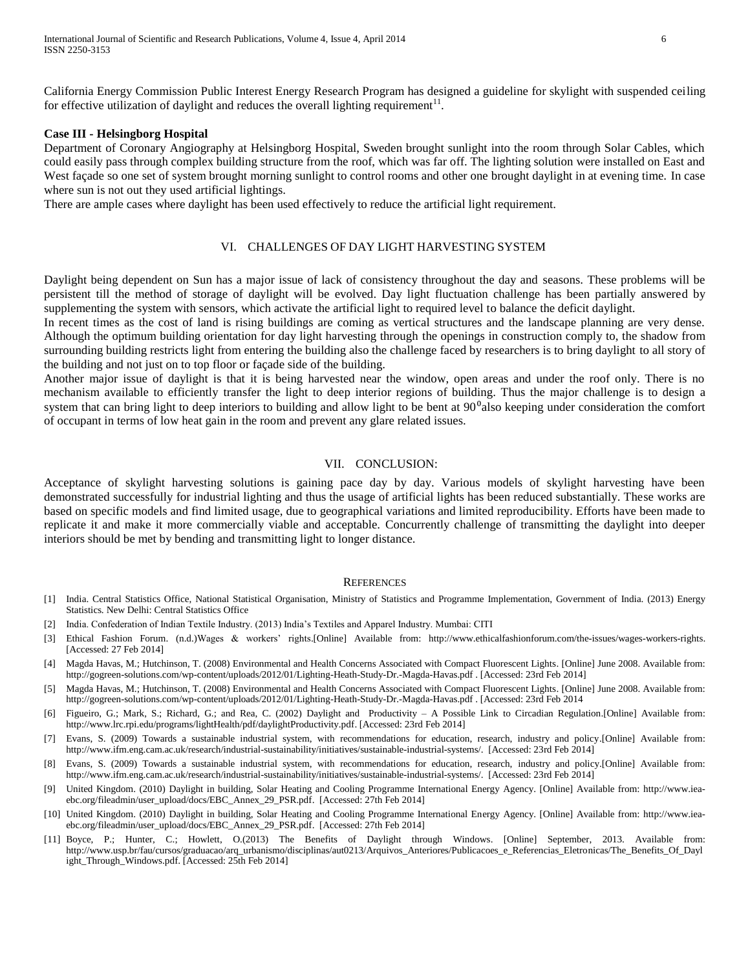California Energy Commission Public Interest Energy Research Program has designed a guideline for skylight with suspended ceiling for effective utilization of daylight and reduces the overall lighting requirement $^{11}$ .

#### **Case III - Helsingborg Hospital**

Department of Coronary Angiography at Helsingborg Hospital, Sweden brought sunlight into the room through Solar Cables, which could easily pass through complex building structure from the roof, which was far off. The lighting solution were installed on East and West façade so one set of system brought morning sunlight to control rooms and other one brought daylight in at evening time. In case where sun is not out they used artificial lightings.

There are ample cases where daylight has been used effectively to reduce the artificial light requirement.

#### VI. CHALLENGES OF DAY LIGHT HARVESTING SYSTEM

Daylight being dependent on Sun has a major issue of lack of consistency throughout the day and seasons. These problems will be persistent till the method of storage of daylight will be evolved. Day light fluctuation challenge has been partially answered by supplementing the system with sensors, which activate the artificial light to required level to balance the deficit daylight.

In recent times as the cost of land is rising buildings are coming as vertical structures and the landscape planning are very dense. Although the optimum building orientation for day light harvesting through the openings in construction comply to, the shadow from surrounding building restricts light from entering the building also the challenge faced by researchers is to bring daylight to all story of the building and not just on to top floor or façade side of the building.

Another major issue of daylight is that it is being harvested near the window, open areas and under the roof only. There is no mechanism available to efficiently transfer the light to deep interior regions of building. Thus the major challenge is to design a system that can bring light to deep interiors to building and allow light to be bent at  $90<sup>o</sup>$ also keeping under consideration the comfort of occupant in terms of low heat gain in the room and prevent any glare related issues.

#### VII. CONCLUSION:

Acceptance of skylight harvesting solutions is gaining pace day by day. Various models of skylight harvesting have been demonstrated successfully for industrial lighting and thus the usage of artificial lights has been reduced substantially. These works are based on specific models and find limited usage, due to geographical variations and limited reproducibility. Efforts have been made to replicate it and make it more commercially viable and acceptable. Concurrently challenge of transmitting the daylight into deeper interiors should be met by bending and transmitting light to longer distance.

#### **REFERENCES**

- [1] India. Central Statistics Office, National Statistical Organisation, Ministry of Statistics and Programme Implementation, Government of India. (2013) Energy Statistics. New Delhi: Central Statistics Office
- [2] India. Confederation of Indian Textile Industry. (2013) India's Textiles and Apparel Industry. Mumbai: CITI
- [3] Ethical Fashion Forum. (n.d.)Wages & workers' rights.[Online] Available from: http://www.ethicalfashionforum.com/the-issues/wages-workers-rights. [Accessed: 27 Feb 2014]
- [4] Magda Havas, M.; Hutchinson, T. (2008) Environmental and Health Concerns Associated with Compact Fluorescent Lights. [Online] June 2008. Available from: http://gogreen-solutions.com/wp-content/uploads/2012/01/Lighting-Heath-Study-Dr.-Magda-Havas.pdf . [Accessed: 23rd Feb 2014]
- [5] Magda Havas, M.; Hutchinson, T. (2008) Environmental and Health Concerns Associated with Compact Fluorescent Lights. [Online] June 2008. Available from: http://gogreen-solutions.com/wp-content/uploads/2012/01/Lighting-Heath-Study-Dr.-Magda-Havas.pdf . [Accessed: 23rd Feb 2014
- [6] Figueiro, G.; Mark, S.; Richard, G.; and Rea, C. (2002) Daylight and Productivity A Possible Link to Circadian Regulation.[Online] Available from: http://www.lrc.rpi.edu/programs/lightHealth/pdf/daylightProductivity.pdf. [Accessed: 23rd Feb 2014]
- [7] Evans, S. (2009) Towards a sustainable industrial system, with recommendations for education, research, industry and policy.[Online] Available from: http://www.ifm.eng.cam.ac.uk/research/industrial-sustainability/initiatives/sustainable-industrial-systems/. [Accessed: 23rd Feb 2014]
- [8] Evans, S. (2009) Towards a sustainable industrial system, with recommendations for education, research, industry and policy.[Online] Available from: http://www.ifm.eng.cam.ac.uk/research/industrial-sustainability/initiatives/sustainable-industrial-systems/. [Accessed: 23rd Feb 2014]
- [9] United Kingdom. (2010) Daylight in building, Solar Heating and Cooling Programme International Energy Agency. [Online] Available from: http://www.ieaebc.org/fileadmin/user\_upload/docs/EBC\_Annex\_29\_PSR.pdf. [Accessed: 27th Feb 2014]
- [10] United Kingdom. (2010) Daylight in building, Solar Heating and Cooling Programme International Energy Agency. [Online] Available from: http://www.ieaebc.org/fileadmin/user\_upload/docs/EBC\_Annex\_29\_PSR.pdf. [Accessed: 27th Feb 2014]
- [11] Boyce, P.; Hunter, C.; Howlett, O.(2013) The Benefits of Daylight through Windows. [Online] September, 2013. Available from: http://www.usp.br/fau/cursos/graduacao/arq\_urbanismo/disciplinas/aut0213/Arquivos\_Anteriores/Publicacoes\_e\_Referencias\_Eletronicas/The\_Benefits\_Of\_Dayl ight\_Through\_Windows.pdf. [Accessed: 25th Feb 2014]